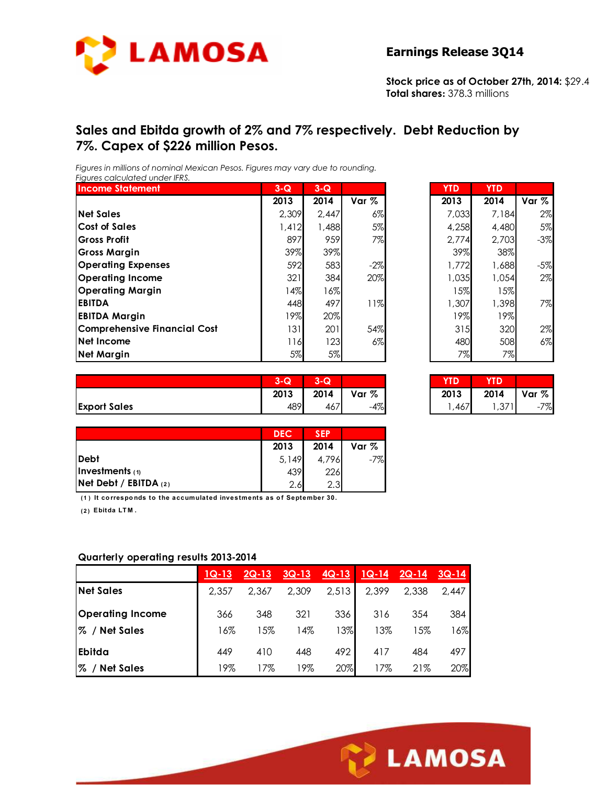

**Stock price as of October 27th, 2014:** \$29.4 **Total shares:** 378.3 millions

## **Sales and Ebitda growth of 2% and 7% respectively. Debt Reduction by 7%. Capex of \$226 million Pesos.**

*Figures in millions of nominal Mexican Pesos. Figures may vary due to rounding. Figures calculated under IFRS.* 

| <b>Income Statement</b>      | $3-Q$  | $3-Q$ |       | <b>YTD</b> | <b>YTD</b> |       |
|------------------------------|--------|-------|-------|------------|------------|-------|
|                              | 2013   | 2014  | Var % | 2013       | 2014       | Var % |
| <b>Net Sales</b>             | 2,309  | 2.447 | 6%    | 7.033      | 7,184      | 2%    |
| <b>Cost of Sales</b>         | 1,412  | 1,488 | 5%    | 4,258      | 4,480      | 5%    |
| <b>Gross Profit</b>          | 897    | 959   | 7%    | 2,774      | 2,703      | $-3%$ |
| <b>Gross Margin</b>          | 39%    | 39%   |       | 39%        | 38%        |       |
| <b>Operating Expenses</b>    | 592    | 583   | $-2%$ | 1,772      | 1,688      | $-5%$ |
| <b>Operating Income</b>      | 321    | 384   | 20%   | 1.035      | 1,054      | 2%    |
| <b>Operating Margin</b>      | $14\%$ | 16%   |       | 15%        | 15%        |       |
| <b>EBITDA</b>                | 448    | 497   | 11%   | 1,307      | 1,398      | 7%    |
| <b>EBITDA Margin</b>         | 19%    | 20%   |       | 19%        | 19%        |       |
| Comprehensive Financial Cost | 131    | 201   | 54%   | 315        | 320        | 2%    |
| Net Income                   | 116    | 123   | $6\%$ | 480        | 508        | 6%    |
| <b>Net Margin</b>            | 5%     | 5%    |       | 7%         | 7%         |       |

| $3-\overline{Q}$ | $3-Q$ |        | <b>YTD</b> | <b>YTD</b> |        |
|------------------|-------|--------|------------|------------|--------|
| 2013             | 2014  | Var %  | 2013       | 2014       | Var %  |
| 2,309            | 2,447 | 6%     | 7,033      | 7,184      | 2%     |
| 1,412            | 1,488 | 5%     | 4,258      | 4,480      | 5%     |
| 897              | 959   | 7%     | 2,774      | 2,703      | $-3\%$ |
| 39%              | 39%   |        | 39%        | 38%        |        |
| 592              | 583   | $-2\%$ | 1,772      | 1,688      | $-5%$  |
| 321              | 384   | 20%    | 1,035      | 1,054      | 2%     |
| 14%              | 16%   |        | 15%        | 15%        |        |
| 448              | 497   | 11%    | 1,307      | 1,398      | 7%     |
| 19%              | 20%   |        | 19%        | 19%        |        |
| 131              | 201   | 54%    | 315        | 320        | 2%     |
| 116              | 123   | $6\%$  | 480        | 508        | $6\%$  |
| 5%               | 5%    |        | 7%         | 7%         |        |

|                     | $3-Q$ | o<br>$\sim$<br>ש-ט    |       | YTD  | YTD  |       |
|---------------------|-------|-----------------------|-------|------|------|-------|
|                     | 2013  | 2014                  | Var % | 2013 | 2014 | Var % |
| <b>Export Sales</b> | 489   | $\overline{1}$<br>467 | $-4%$ | ,467 | ,371 | $-7%$ |

| $3-G$ | 3-Q  |       |      |      |       |
|-------|------|-------|------|------|-------|
| 2013  | 2014 | Var % | 2013 | 2014 | Var % |
| 489   |      | $-4%$ |      | 37′، | 7%.   |

|                           | <b>DEC</b> | <b>SEP</b> |       |
|---------------------------|------------|------------|-------|
|                           | 2013       | 2014       | Var % |
| Debt                      | 5,149      | 4.796      | -7%   |
| Investments $(1)$         | 439        | 226        |       |
| $Net$ Debt / EBITDA $(2)$ | 2.6        | 2.3        |       |

**( 1 ) It co rrespo nds to the accumulated investments as o f September 30.**

**( 2 ) Ebitda LT M .**

#### **Quarterly operating results 2013-2014**

|                         | $1Q-13$ | $2Q-13$ | $3Q-13$ | $4Q-13$ | $1Q-14$ | $2Q-14$ | $3Q-14$ |
|-------------------------|---------|---------|---------|---------|---------|---------|---------|
| <b>Net Sales</b>        | 2.357   | 2.367   | 2.309   | 2,513   | 2,399   | 2,338   | 2.447   |
| <b>Operating Income</b> | 366     | 348     | 321     | 336     | 316     | 354     | 384     |
| % / Net Sales           | 16%     | 15%     | 14%     | 13%     | 13%     | 15%     | 16%     |
| Ebitda                  | 449     | 410     | 448     | 492     | 417     | 484     | 497     |
| % / Net Sales           | 19%     | 17%     | 19%     | 20%     | 17%     | 21%     | 20%     |

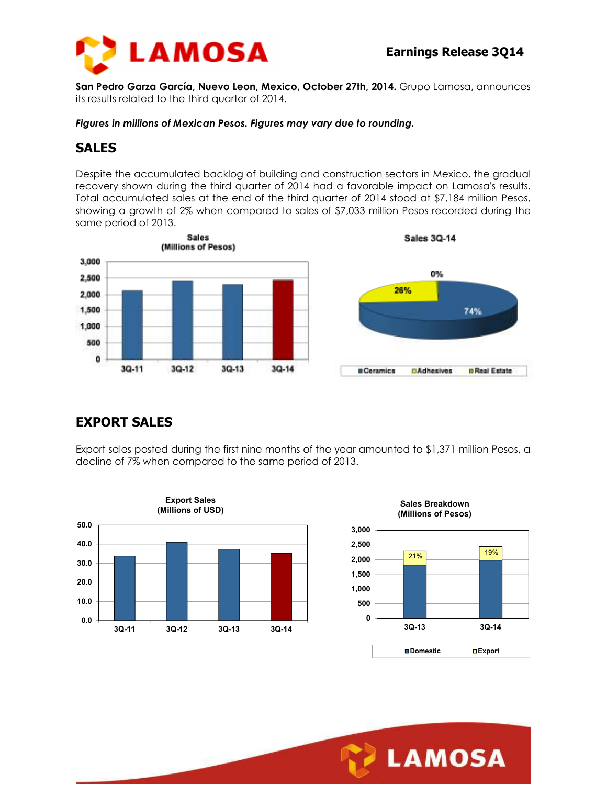

**San Pedro Garza García, Nuevo Leon, Mexico, October 27th, 2014.** Grupo Lamosa, announces its results related to the third quarter of 2014.

*Figures in millions of Mexican Pesos. Figures may vary due to rounding.* 

## **SALES**

Despite the accumulated backlog of building and construction sectors in Mexico, the gradual recovery shown during the third quarter of 2014 had a favorable impact on Lamosa's results. Total accumulated sales at the end of the third quarter of 2014 stood at \$7,184 million Pesos, showing a growth of 2% when compared to sales of \$7,033 million Pesos recorded during the same period of 2013.



# **EXPORT SALES**

Export sales posted during the first nine months of the year amounted to \$1,371 million Pesos, a decline of 7% when compared to the same period of 2013.







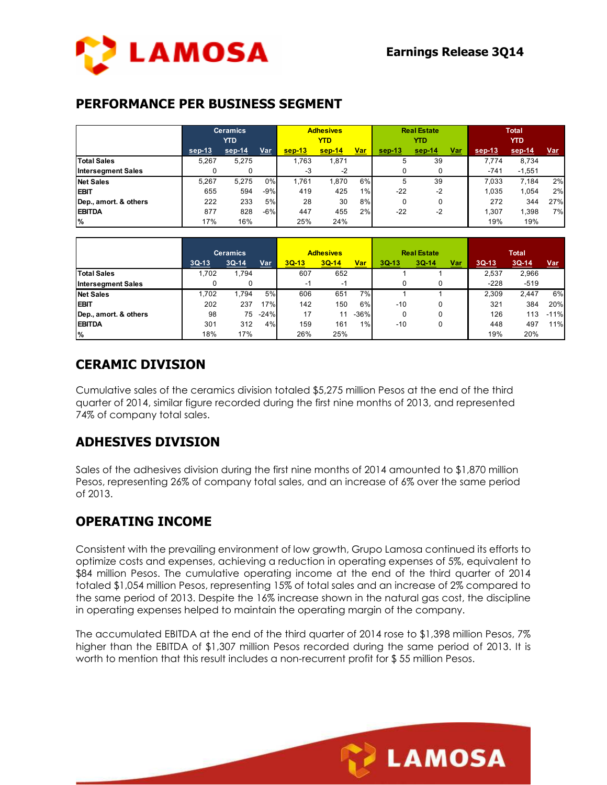

## **PERFORMANCE PER BUSINESS SEGMENT**

|                           | <b>Ceramics</b><br><b>YTD</b> |          |       | <b>Adhesives</b><br><b>YTD</b> |          |            | <b>Real Estate</b><br><b>YTD</b> |          |            | <b>Total</b><br><b>YTD</b> |          |            |
|---------------------------|-------------------------------|----------|-------|--------------------------------|----------|------------|----------------------------------|----------|------------|----------------------------|----------|------------|
|                           | sep-13                        | $sep-14$ | Var   | $sep-13$                       | $sep-14$ | <u>Var</u> | $sep-13$                         | $sep-14$ | <u>Var</u> | sep-13                     | sep-14   | <u>Var</u> |
| <b>Total Sales</b>        | 5.267                         | 5.275    |       | .763                           | 1.871    |            | 5                                | 39       |            | 7.774                      | 8,734    |            |
| <b>Intersegment Sales</b> |                               | 0        |       | -3                             | $-2$     |            |                                  |          |            | $-741$                     | $-1,551$ |            |
| <b>Net Sales</b>          | 5.267                         | 5.275    | 0%    | 1.761                          | 1.870    | 6%         | 5                                | 39       |            | 7.033                      | 7.184    | 2%         |
| <b>EBIT</b>               | 655                           | 594      | $-9%$ | 419                            | 425      | 1%         | $-22$                            | $-2$     |            | 1.035                      | 1.054    | 2%         |
| Dep., amort. & others     | 222                           | 233      | 5%    | 28                             | 30       | 8%         |                                  |          |            | 272                        | 344      | 27%        |
| <b>EBITDA</b>             | 877                           | 828      | $-6%$ | 447                            | 455      | 2%         | $-22$                            | $-2$     |            | 1.307                      | 398      | 7%         |
| $\frac{9}{6}$             | 17%                           | 16%      |       | 25%                            | 24%      |            |                                  |          |            | 19%                        | 19%      |            |

|                           | <b>Ceramics</b> |         |        | <b>Adhesives</b> |         |            | <b>Real Estate</b> |           |            | <b>Total</b> |         |            |  |
|---------------------------|-----------------|---------|--------|------------------|---------|------------|--------------------|-----------|------------|--------------|---------|------------|--|
|                           | $3Q-13$         | $3Q-14$ | Var    | $3Q-13$          | $3Q-14$ | <u>Var</u> | $3Q-13$            | $3Q - 14$ | <u>Var</u> | $3Q-13$      | $3Q-14$ | <u>Var</u> |  |
| <b>Total Sales</b>        | 1.702           | .794    |        | 607              | 652     |            |                    |           |            | 2,537        | 2,966   |            |  |
| <b>Intersegment Sales</b> |                 | 0       |        | -1               | -1      |            |                    |           |            | $-228$       | $-519$  |            |  |
| <b>Net Sales</b>          | 1.702           | .794    | 5%     | 606              | 651     | 7%         |                    |           |            | 2.309        | 2.447   | 6%         |  |
| <b>EBIT</b>               | 202             | 237     | 17%    | 142              | 150     | 6%         | $-10$              |           |            | 321          | 384     | 20%        |  |
| Dep., amort. & others     | 98              | 75      | $-24%$ | 17               | 11      | $-36%$     |                    |           |            | 126          | 113     | $-11%$     |  |
| <b>EBITDA</b>             | 301             | 312     | 4%     | 159              | 161     | $1\%$      | $-10$              |           |            | 448          | 497     | 11%        |  |
| $\frac{9}{6}$             | 18%             | 17%     |        | 26%              | 25%     |            |                    |           |            | 19%          | 20%     |            |  |

## **CERAMIC DIVISION**

Cumulative sales of the ceramics division totaled \$5,275 million Pesos at the end of the third quarter of 2014, similar figure recorded during the first nine months of 2013, and represented 74% of company total sales.

## **ADHESIVES DIVISION**

Sales of the adhesives division during the first nine months of 2014 amounted to \$1,870 million Pesos, representing 26% of company total sales, and an increase of 6% over the same period of 2013.

## **OPERATING INCOME**

Consistent with the prevailing environment of low growth, Grupo Lamosa continued its efforts to optimize costs and expenses, achieving a reduction in operating expenses of 5%, equivalent to \$84 million Pesos. The cumulative operating income at the end of the third quarter of 2014 totaled \$1,054 million Pesos, representing 15% of total sales and an increase of 2% compared to the same period of 2013. Despite the 16% increase shown in the natural gas cost, the discipline in operating expenses helped to maintain the operating margin of the company.

The accumulated EBITDA at the end of the third quarter of 2014 rose to \$1,398 million Pesos, 7% higher than the EBITDA of \$1,307 million Pesos recorded during the same period of 2013. It is worth to mention that this result includes a non-recurrent profit for \$ 55 million Pesos.

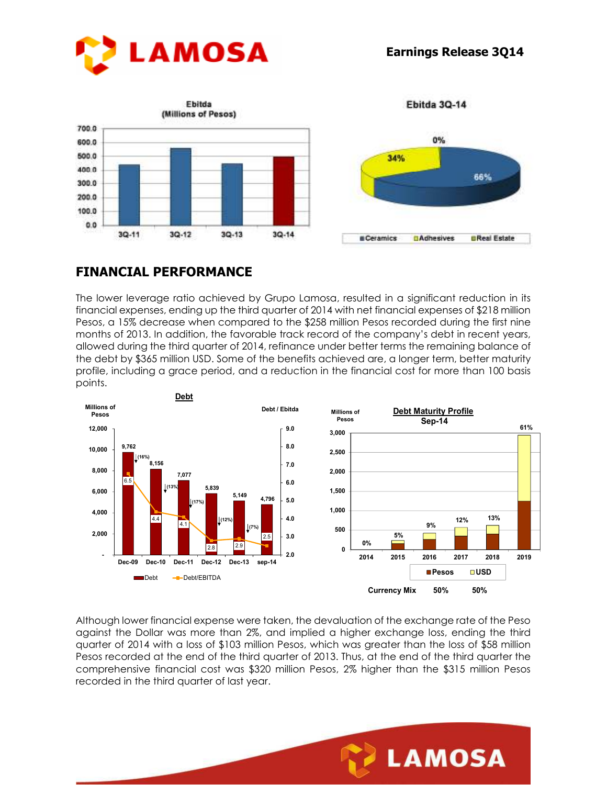



Ebitda 3Q-14



## **FINANCIAL PERFORMANCE**

The lower leverage ratio achieved by Grupo Lamosa, resulted in a significant reduction in its financial expenses, ending up the third quarter of 2014 with net financial expenses of \$218 million Pesos, a 15% decrease when compared to the \$258 million Pesos recorded during the first nine months of 2013. In addition, the favorable track record of the company's debt in recent years, allowed during the third quarter of 2014, refinance under better terms the remaining balance of the debt by \$365 million USD. Some of the benefits achieved are, a longer term, better maturity profile, including a grace period, and a reduction in the financial cost for more than 100 basis points.



Although lower financial expense were taken, the devaluation of the exchange rate of the Peso against the Dollar was more than 2%, and implied a higher exchange loss, ending the third quarter of 2014 with a loss of \$103 million Pesos, which was greater than the loss of \$58 million Pesos recorded at the end of the third quarter of 2013. Thus, at the end of the third quarter the comprehensive financial cost was \$320 million Pesos, 2% higher than the \$315 million Pesos recorded in the third quarter of last year.